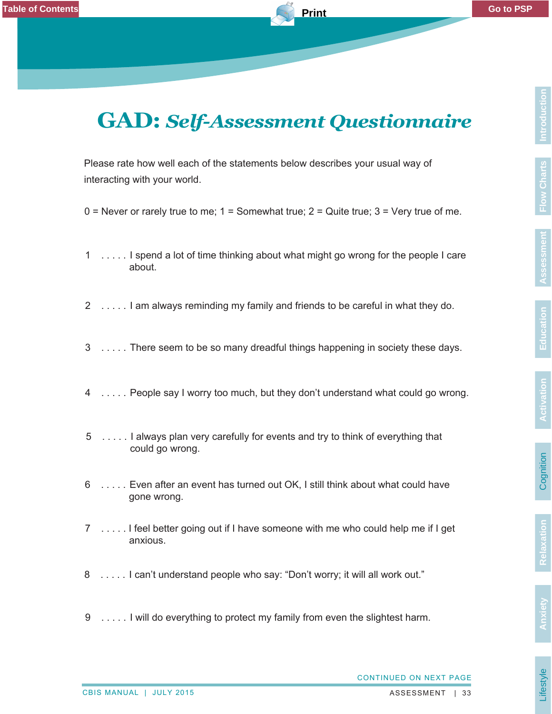Lifestyle

## **GAD: Self-Assessment Questionnaire GAD:** *Self-Assessment Questionnaire*

Please rate how well each of the statements below describes your usual way of interacting with your world.

- $0 =$  Never or rarely true to me;  $1 =$  Somewhat true;  $2 =$  Quite true;  $3 =$  Very true of me.
- 1 . . . . . Ispend a lot of time thinking about what might go wrong for the people I care about.
- 2 . . . . . I am always reminding my family and friends to be careful in what they do.
- 3 . . . . . There seem to be so many dreadful things happening in society these days.
- 4 . . . . . . People say I worry too much, but they don't understand what could go wrong.
- 5 . . . . . I always plan very carefully for events and try to think of everything that could go wrong.
- 6 . . . . . Even after an event has turned out OK, I still think about what could have gone wrong.
- 7 . . . . . I feel better going out if I have someone with me who could help me if I get anxious.
- 8 . . . . . I can't understand people who say: "Don't worry; it will all work out."
- 9 . . . . . I will do everything to protect my family from even the slightest harm.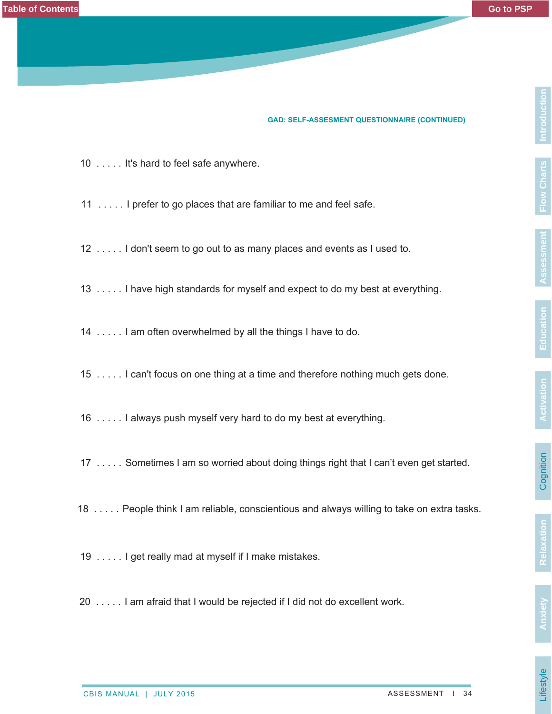#### **GAD: SELF-ASSESMENT QUESTIONNAIRE (CONTINUED)**

- 10 . . . . . It's hard to feel safe anywhere.
- 11 . . . . . I prefer to go places that are familiar to me and feel safe.
- 12 . . . . . I don't seem to go out to as many places and events as I used to.
- 13 . . . . . I have high standards for myself and expect to do my best at everything.
- 14 . . . . . I am often overwhelmed by all the things I have to do.
- 15 . . . . . I can't focus on one thing at a time and therefore nothing much gets done.
- 16 . . . . . I always push myself very hard to do my best at everything.
- 17 . . . . . Sometimes I am so worried about doing things right that I can't even get started.
- 18 . . . . . People think I am reliable, conscientious and always willing to take on extra tasks.
- 19 . . . . . I get really mad at myself if I make mistakes.
- 20 . . . . . I am afraid that I would be rejected if I did not do excellent work.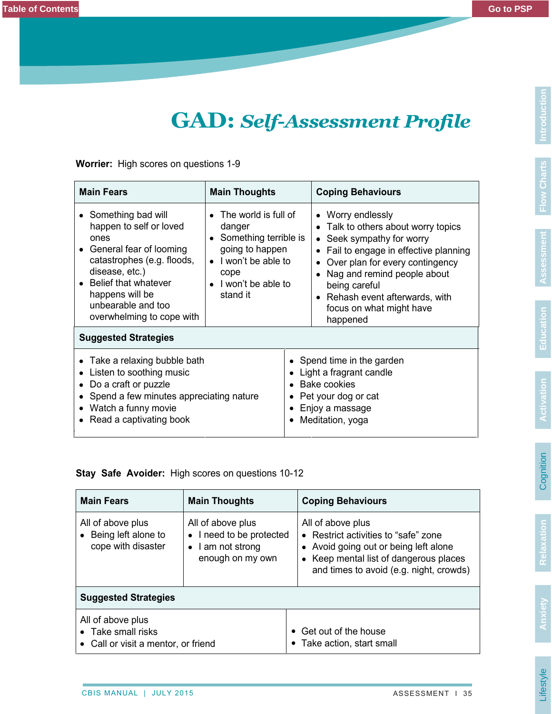### **GAD: Self-Assessment Profile GAD:** *Self-Assessment Profile*

**Worrier:** High scores on questions 1-9

| <b>Main Fears</b>                                                                                                                                                                                                              | <b>Main Thoughts</b>                                                                                                                                     |                                                                                                                                            | <b>Coping Behaviours</b>                                                                                                                                                                                                                                                                  |  |  |
|--------------------------------------------------------------------------------------------------------------------------------------------------------------------------------------------------------------------------------|----------------------------------------------------------------------------------------------------------------------------------------------------------|--------------------------------------------------------------------------------------------------------------------------------------------|-------------------------------------------------------------------------------------------------------------------------------------------------------------------------------------------------------------------------------------------------------------------------------------------|--|--|
| Something bad will<br>happen to self or loved<br>ones<br>General fear of looming<br>catastrophes (e.g. floods,<br>disease, etc.)<br>Belief that whatever<br>happens will be<br>unbearable and too<br>overwhelming to cope with | The world is full of<br>danger<br>• Something terrible is<br>going to happen<br>$\bullet$ I won't be able to<br>cope<br>• I won't be able to<br>stand it |                                                                                                                                            | • Worry endlessly<br>• Talk to others about worry topics<br>Seek sympathy for worry<br>Fail to engage in effective planning<br>Over plan for every contingency<br>Nag and remind people about<br>being careful<br>• Rehash event afterwards, with<br>focus on what might have<br>happened |  |  |
| <b>Suggested Strategies</b>                                                                                                                                                                                                    |                                                                                                                                                          |                                                                                                                                            |                                                                                                                                                                                                                                                                                           |  |  |
| • Take a relaxing bubble bath<br>Listen to soothing music<br>Do a craft or puzzle<br>Spend a few minutes appreciating nature<br>• Watch a funny movie<br>• Read a captivating book                                             |                                                                                                                                                          | • Spend time in the garden<br>Light a fragrant candle<br><b>Bake cookies</b><br>Pet your dog or cat<br>Enjoy a massage<br>Meditation, yoga |                                                                                                                                                                                                                                                                                           |  |  |

#### **Stay Safe Avoider:** High scores on questions 10-12

| <b>Main Fears</b>                                                              | <b>Main Thoughts</b>                                                                           | <b>Coping Behaviours</b>                                                                                                                                                                |  |  |  |
|--------------------------------------------------------------------------------|------------------------------------------------------------------------------------------------|-----------------------------------------------------------------------------------------------------------------------------------------------------------------------------------------|--|--|--|
| All of above plus<br>Being left alone to<br>cope with disaster                 | All of above plus<br>• I need to be protected<br>$\bullet$   am not strong<br>enough on my own | All of above plus<br>• Restrict activities to "safe" zone<br>• Avoid going out or being left alone<br>• Keep mental list of dangerous places<br>and times to avoid (e.g. night, crowds) |  |  |  |
| <b>Suggested Strategies</b>                                                    |                                                                                                |                                                                                                                                                                                         |  |  |  |
| All of above plus<br>• Take small risks<br>• Call or visit a mentor, or friend |                                                                                                | • Get out of the house<br>Take action, start small                                                                                                                                      |  |  |  |